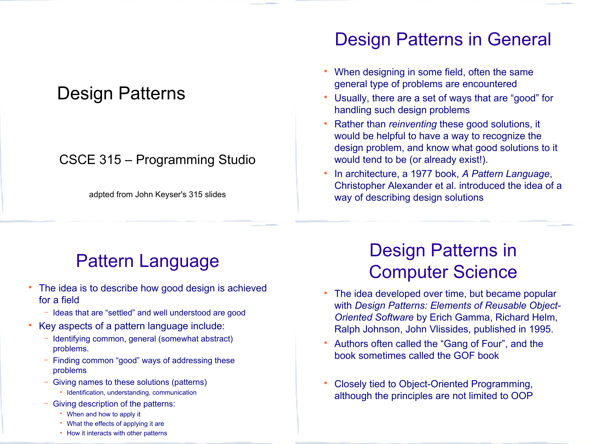#### Design Patterns

#### CSCE 315 – Programming Studio

adpted from John Keyser's 315 slides

#### Design Patterns in General

- When designing in some field, often the same general type of problems are encountered
- Usually, there are a set of ways that are "good" for handling such design problems
- Rather than *reinventing* these good solutions, it would be helpful to have a way to recognize the design problem, and know what good solutions to it would tend to be (or already exist!).
- In architecture, a 1977 book, *A Pattern Language*, Christopher Alexander et al. introduced the idea of a way of describing design solutions

### Pattern Language

- The idea is to describe how good design is achieved for a field
	- − Ideas that are "settled" and well understood are good
- Key aspects of a pattern language include:
	- − Identifying common, general (somewhat abstract) problems.
	- Finding common "good" ways of addressing these problems
	- − Giving names to these solutions (patterns)
		- Identification, understanding, communication
	- − Giving description of the patterns:
		- When and how to apply it
		- What the effects of applying it are
		- How it interacts with other patterns

#### Design Patterns in Computer Science

- The idea developed over time, but became popular with *Design Patterns: Elements of Reusable Object-Oriented Software* by Erich Gamma, Richard Helm, Ralph Johnson, John Vlissides, published in 1995.
- Authors often called the "Gang of Four", and the book sometimes called the GOF book
- Closely tied to Object-Oriented Programming, although the principles are not limited to OOP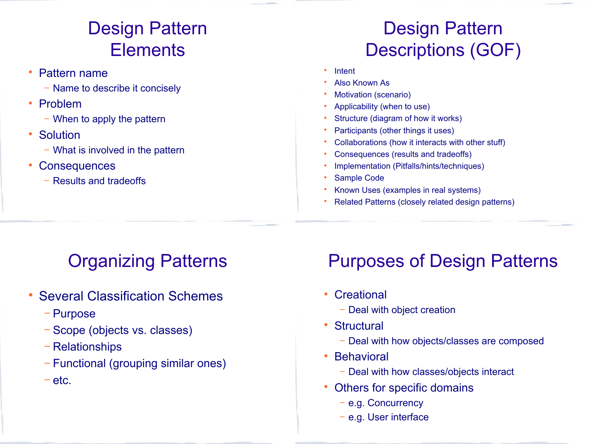# Design Pattern **Elements**

- Pattern name
	- − Name to describe it concisely
- Problem
	- − When to apply the pattern
- Solution
	- − What is involved in the pattern
- **Consequences** 
	- − Results and tradeoffs

# Design Pattern Descriptions (GOF)

- Intent
- Also Known As
- Motivation (scenario)
- Applicability (when to use)
- Structure (diagram of how it works)
- Participants (other things it uses)
- Collaborations (how it interacts with other stuff)
- Consequences (results and tradeoffs)
- Implementation (Pitfalls/hints/techniques)
- Sample Code
- Known Uses (examples in real systems)
- Related Patterns (closely related design patterns)

# Organizing Patterns

- Several Classification Schemes
	- − Purpose
	- − Scope (objects vs. classes)
	- − Relationships
	- − Functional (grouping similar ones)
	- − etc.

# Purposes of Design Patterns

- Creational
	- − Deal with object creation
- Structural
	- − Deal with how objects/classes are composed
- Behavioral
	- − Deal with how classes/objects interact
- Others for specific domains
	- − e.g. Concurrency
	- − e.g. User interface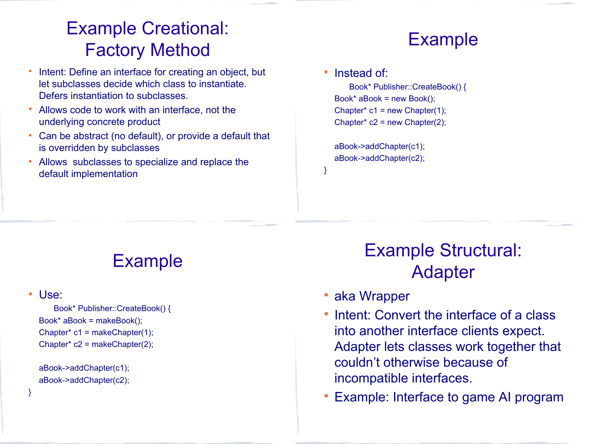## Example Creational: Factory Method

- Intent: Define an interface for creating an object, but let subclasses decide which class to instantiate. Defers instantiation to subclasses.
- Allows code to work with an interface, not the underlying concrete product
- Can be abstract (no default), or provide a default that is overridden by subclasses
- Allows subclasses to specialize and replace the default implementation

#### Example

#### • Instead of:

}

Book\* Publisher::CreateBook() { Book\* aBook = new Book(); Chapter\*  $c1$  = new Chapter(1); Chapter\*  $c2$  = new Chapter(2);

aBook->addChapter(c1); aBook->addChapter(c2);

#### Example

#### Use:

}

Book\* Publisher::CreateBook() { Book\* aBook = makeBook(); Chapter\*  $c1$  = makeChapter(1); Chapter\* c2 = makeChapter(2);

```
aBook->addChapter(c1);
aBook->addChapter(c2);
```
## Example Structural: Adapter

- aka Wrapper
- Intent: Convert the interface of a class into another interface clients expect. Adapter lets classes work together that couldn't otherwise because of incompatible interfaces.
- Example: Interface to game AI program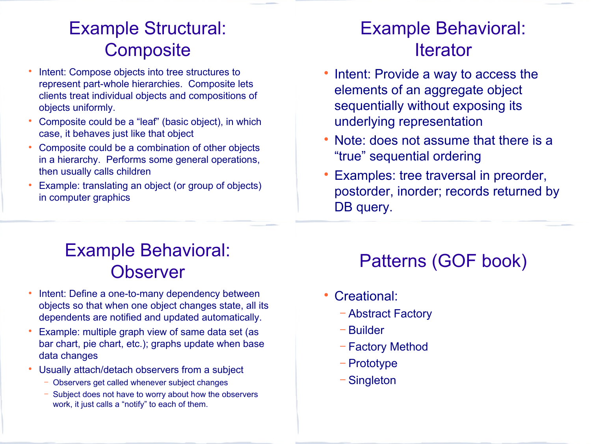## Example Structural: **Composite**

- Intent: Compose objects into tree structures to represent part-whole hierarchies. Composite lets clients treat individual objects and compositions of objects uniformly.
- Composite could be a "leaf" (basic object), in which case, it behaves just like that object
- Composite could be a combination of other objects in a hierarchy. Performs some general operations, then usually calls children
- Example: translating an object (or group of objects) in computer graphics

#### Example Behavioral: **Iterator**

- Intent: Provide a way to access the elements of an aggregate object sequentially without exposing its underlying representation
- Note: does not assume that there is a "true" sequential ordering
- Examples: tree traversal in preorder, postorder, inorder; records returned by DB query.

## Example Behavioral: **Observer**

- Intent: Define a one-to-many dependency between objects so that when one object changes state, all its dependents are notified and updated automatically.
- Example: multiple graph view of same data set (as bar chart, pie chart, etc.); graphs update when base data changes
- Usually attach/detach observers from a subject
	- − Observers get called whenever subject changes
	- Subject does not have to worry about how the observers work, it just calls a "notify" to each of them.

### Patterns (GOF book)

- Creational:
	- − Abstract Factory
	- − Builder
	- − Factory Method
	- − Prototype
	- − Singleton